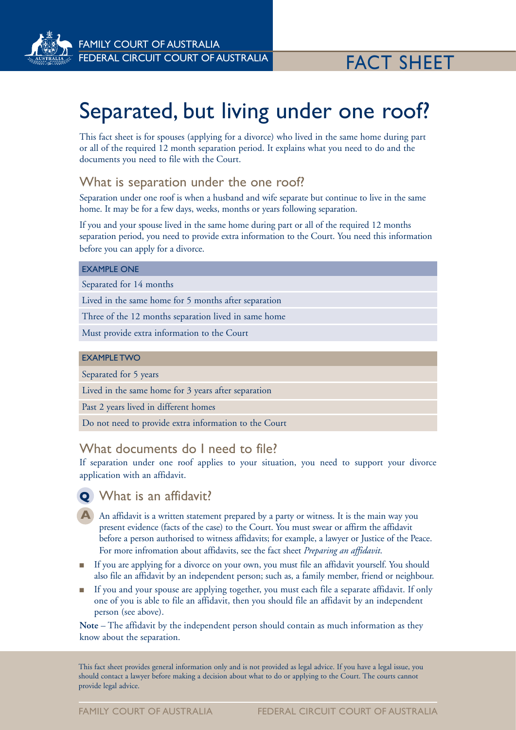

# Separated, but living under one roof?

This fact sheet is for spouses (applying for a divorce) who lived in the same home during part or all of the required 12 month separation period. It explains what you need to do and the documents you need to file with the Court.

#### What is separation under the one roof?

Separation under one roof is when a husband and wife separate but continue to live in the same home. It may be for a few days, weeks, months or years following separation.

If you and your spouse lived in the same home during part or all of the required 12 months separation period, you need to provide extra information to the Court. You need this information before you can apply for a divorce.

#### EXAMPLE ONE

Separated for 14 months

Lived in the same home for 5 months after separation

Three of the 12 months separation lived in same home

Must provide extra information to the Court

#### EXAMPLE TWO

Separated for 5 years

Lived in the same home for 3 years after separation

Past 2 years lived in different homes

Do not need to provide extra information to the Court

## What documents do I need to file?

If separation under one roof applies to your situation, you need to support your divorce application with an affidavit.

# **Q** What is an affidavit?

- A An affidavit is a written statement prepared by a party or witness. It is the main way you present evidence (facts of the case) to the Court. You must swear or affirm the affidavit before a person authorised to witness affidavits; for example, a lawyer or Justice of the Peace. For more infromation about affidavits, see the fact sheet *Preparing an affidavit*.
- <sup>n</sup> If you are applying for a divorce on your own, you must file an affidavit yourself. You should also file an affidavit by an independent person; such as, a family member, friend or neighbour.
- <sup>n</sup> If you and your spouse are applying together, you must each file a separate affidavit. If only one of you is able to file an affidavit, then you should file an affidavit by an independent person (see above).

**Note** – The affidavit by the independent person should contain as much information as they know about the separation.

This fact sheet provides general information only and is not provided as legal advice. If you have a legal issue, you should contact a lawyer before making a decision about what to do or applying to the Court. The courts cannot provide legal advice.